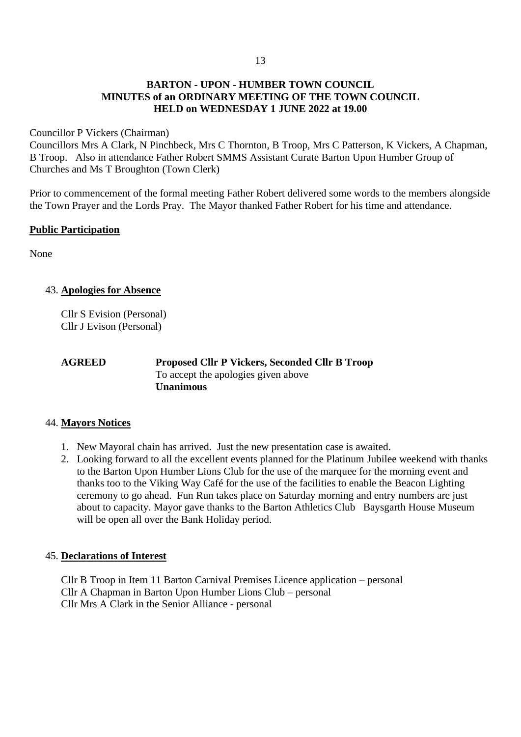### **BARTON - UPON - HUMBER TOWN COUNCIL MINUTES of an ORDINARY MEETING OF THE TOWN COUNCIL HELD on WEDNESDAY 1 JUNE 2022 at 19.00**

#### Councillor P Vickers (Chairman)

Councillors Mrs A Clark, N Pinchbeck, Mrs C Thornton, B Troop, Mrs C Patterson, K Vickers, A Chapman, B Troop. Also in attendance Father Robert SMMS Assistant Curate Barton Upon Humber Group of Churches and Ms T Broughton (Town Clerk)

Prior to commencement of the formal meeting Father Robert delivered some words to the members alongside the Town Prayer and the Lords Pray. The Mayor thanked Father Robert for his time and attendance.

### **Public Participation**

None

### 43. **Apologies for Absence**

Cllr S Evision (Personal) Cllr J Evison (Personal)

**AGREED Proposed Cllr P Vickers, Seconded Cllr B Troop** To accept the apologies given above **Unanimous**

### 44. **Mayors Notices**

- 1. New Mayoral chain has arrived. Just the new presentation case is awaited.
- 2. Looking forward to all the excellent events planned for the Platinum Jubilee weekend with thanks to the Barton Upon Humber Lions Club for the use of the marquee for the morning event and thanks too to the Viking Way Café for the use of the facilities to enable the Beacon Lighting ceremony to go ahead. Fun Run takes place on Saturday morning and entry numbers are just about to capacity. Mayor gave thanks to the Barton Athletics Club Baysgarth House Museum will be open all over the Bank Holiday period.

### 45. **Declarations of Interest**

Cllr B Troop in Item 11 Barton Carnival Premises Licence application – personal Cllr A Chapman in Barton Upon Humber Lions Club – personal Cllr Mrs A Clark in the Senior Alliance - personal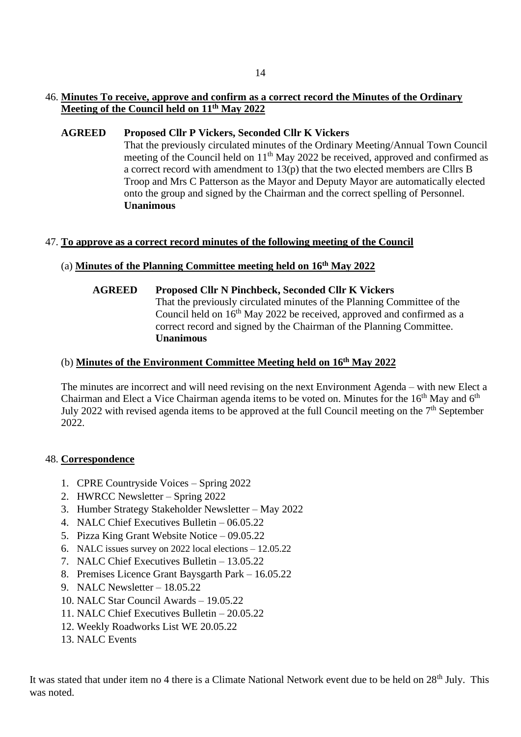# 46. **Minutes To receive, approve and confirm as a correct record the Minutes of the Ordinary Meeting of the Council held on 11th May 2022**

### **AGREED Proposed Cllr P Vickers, Seconded Cllr K Vickers**

That the previously circulated minutes of the Ordinary Meeting/Annual Town Council meeting of the Council held on 11<sup>th</sup> May 2022 be received, approved and confirmed as a correct record with amendment to 13(p) that the two elected members are Cllrs B Troop and Mrs C Patterson as the Mayor and Deputy Mayor are automatically elected onto the group and signed by the Chairman and the correct spelling of Personnel. **Unanimous**

# 47. **To approve as a correct record minutes of the following meeting of the Council**

# (a) **Minutes of the Planning Committee meeting held on 16th May 2022**

**AGREED Proposed Cllr N Pinchbeck, Seconded Cllr K Vickers** That the previously circulated minutes of the Planning Committee of the Council held on 16<sup>th</sup> May 2022 be received, approved and confirmed as a correct record and signed by the Chairman of the Planning Committee. **Unanimous**

# (b) **Minutes of the Environment Committee Meeting held on 16th May 2022**

The minutes are incorrect and will need revising on the next Environment Agenda – with new Elect a Chairman and Elect a Vice Chairman agenda items to be voted on. Minutes for the 16<sup>th</sup> May and 6<sup>th</sup> July 2022 with revised agenda items to be approved at the full Council meeting on the  $7<sup>th</sup>$  September 2022.

### 48. **Correspondence**

- 1. CPRE Countryside Voices Spring 2022
- 2. HWRCC Newsletter Spring 2022
- 3. Humber Strategy Stakeholder Newsletter May 2022
- 4. NALC Chief Executives Bulletin 06.05.22
- 5. Pizza King Grant Website Notice 09.05.22
- 6. NALC issues survey on 2022 local elections 12.05.22
- 7. NALC Chief Executives Bulletin 13.05.22
- 8. Premises Licence Grant Baysgarth Park 16.05.22
- 9. NALC Newsletter 18.05.22
- 10. NALC Star Council Awards 19.05.22
- 11. NALC Chief Executives Bulletin 20.05.22
- 12. Weekly Roadworks List WE 20.05.22
- 13. NALC Events

It was stated that under item no 4 there is a Climate National Network event due to be held on 28<sup>th</sup> July. This was noted.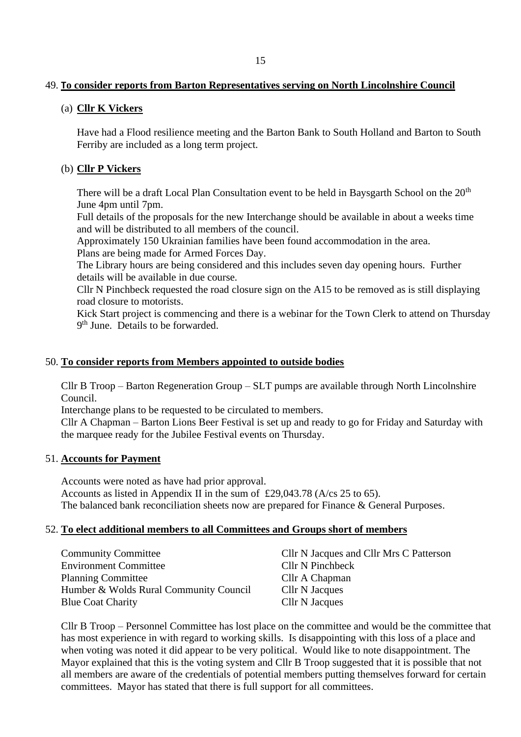### 49. **To consider reports from Barton Representatives serving on North Lincolnshire Council**

## (a) **Cllr K Vickers**

Have had a Flood resilience meeting and the Barton Bank to South Holland and Barton to South Ferriby are included as a long term project.

# (b) **Cllr P Vickers**

There will be a draft Local Plan Consultation event to be held in Baysgarth School on the  $20<sup>th</sup>$ June 4pm until 7pm.

Full details of the proposals for the new Interchange should be available in about a weeks time and will be distributed to all members of the council.

Approximately 150 Ukrainian families have been found accommodation in the area. Plans are being made for Armed Forces Day.

The Library hours are being considered and this includes seven day opening hours. Further details will be available in due course.

Cllr N Pinchbeck requested the road closure sign on the A15 to be removed as is still displaying road closure to motorists.

Kick Start project is commencing and there is a webinar for the Town Clerk to attend on Thursday 9<sup>th</sup> June. Details to be forwarded.

## 50. **To consider reports from Members appointed to outside bodies**

Cllr B Troop – Barton Regeneration Group – SLT pumps are available through North Lincolnshire Council.

Interchange plans to be requested to be circulated to members.

Cllr A Chapman – Barton Lions Beer Festival is set up and ready to go for Friday and Saturday with the marquee ready for the Jubilee Festival events on Thursday.

### 51. **Accounts for Payment**

Accounts were noted as have had prior approval. Accounts as listed in Appendix II in the sum of £29,043.78 (A/cs 25 to 65). The balanced bank reconciliation sheets now are prepared for Finance & General Purposes.

### 52. **To elect additional members to all Committees and Groups short of members**

| <b>Community Committee</b>             | Cllr N Jacques and Cllr Mrs C Patterson |
|----------------------------------------|-----------------------------------------|
| <b>Environment Committee</b>           | Cllr N Pinchbeck                        |
| <b>Planning Committee</b>              | Cllr A Chapman                          |
| Humber & Wolds Rural Community Council | Cllr N Jacques                          |
| <b>Blue Coat Charity</b>               | Cllr N Jacques                          |

Cllr B Troop – Personnel Committee has lost place on the committee and would be the committee that has most experience in with regard to working skills. Is disappointing with this loss of a place and when voting was noted it did appear to be very political. Would like to note disappointment. The Mayor explained that this is the voting system and Cllr B Troop suggested that it is possible that not all members are aware of the credentials of potential members putting themselves forward for certain committees. Mayor has stated that there is full support for all committees.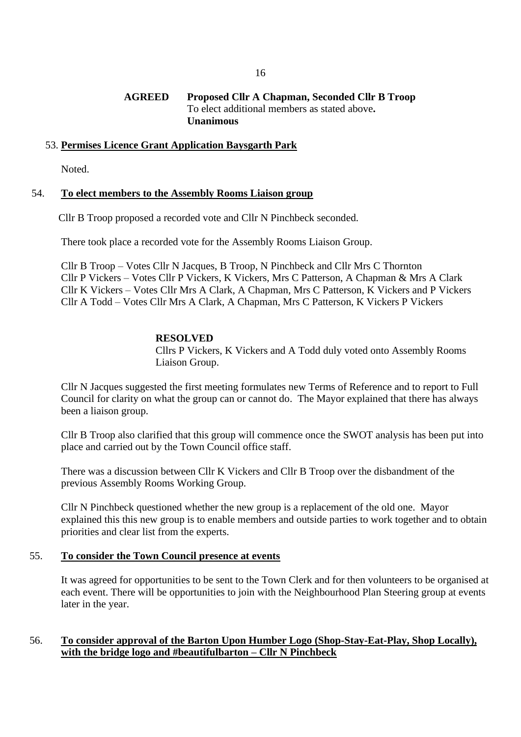#### **AGREED Proposed Cllr A Chapman, Seconded Cllr B Troop** To elect additional members as stated above**. Unanimous**

#### 53. **Permises Licence Grant Application Baysgarth Park**

Noted.

#### 54. **To elect members to the Assembly Rooms Liaison group**

Cllr B Troop proposed a recorded vote and Cllr N Pinchbeck seconded.

There took place a recorded vote for the Assembly Rooms Liaison Group.

Cllr B Troop – Votes Cllr N Jacques, B Troop, N Pinchbeck and Cllr Mrs C Thornton Cllr P Vickers – Votes Cllr P Vickers, K Vickers, Mrs C Patterson, A Chapman & Mrs A Clark Cllr K Vickers – Votes Cllr Mrs A Clark, A Chapman, Mrs C Patterson, K Vickers and P Vickers Cllr A Todd – Votes Cllr Mrs A Clark, A Chapman, Mrs C Patterson, K Vickers P Vickers

### **RESOLVED**

Cllrs P Vickers, K Vickers and A Todd duly voted onto Assembly Rooms Liaison Group.

Cllr N Jacques suggested the first meeting formulates new Terms of Reference and to report to Full Council for clarity on what the group can or cannot do. The Mayor explained that there has always been a liaison group.

Cllr B Troop also clarified that this group will commence once the SWOT analysis has been put into place and carried out by the Town Council office staff.

There was a discussion between Cllr K Vickers and Cllr B Troop over the disbandment of the previous Assembly Rooms Working Group.

Cllr N Pinchbeck questioned whether the new group is a replacement of the old one. Mayor explained this this new group is to enable members and outside parties to work together and to obtain priorities and clear list from the experts.

#### 55. **To consider the Town Council presence at events**

It was agreed for opportunities to be sent to the Town Clerk and for then volunteers to be organised at each event. There will be opportunities to join with the Neighbourhood Plan Steering group at events later in the year.

## 56. **To consider approval of the Barton Upon Humber Logo (Shop-Stay-Eat-Play, Shop Locally), with the bridge logo and #beautifulbarton – Cllr N Pinchbeck**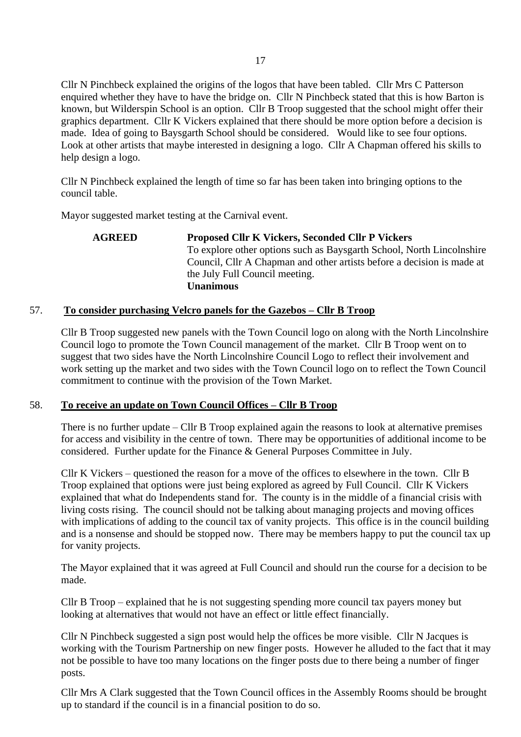Cllr N Pinchbeck explained the origins of the logos that have been tabled. Cllr Mrs C Patterson enquired whether they have to have the bridge on. Cllr N Pinchbeck stated that this is how Barton is known, but Wilderspin School is an option. Cllr B Troop suggested that the school might offer their graphics department. Cllr K Vickers explained that there should be more option before a decision is made. Idea of going to Baysgarth School should be considered. Would like to see four options. Look at other artists that maybe interested in designing a logo. Cllr A Chapman offered his skills to help design a logo.

Cllr N Pinchbeck explained the length of time so far has been taken into bringing options to the council table.

Mayor suggested market testing at the Carnival event.

### **AGREED Proposed Cllr K Vickers, Seconded Cllr P Vickers** To explore other options such as Baysgarth School, North Lincolnshire Council, Cllr A Chapman and other artists before a decision is made at the July Full Council meeting. **Unanimous**

## 57. **To consider purchasing Velcro panels for the Gazebos – Cllr B Troop**

Cllr B Troop suggested new panels with the Town Council logo on along with the North Lincolnshire Council logo to promote the Town Council management of the market. Cllr B Troop went on to suggest that two sides have the North Lincolnshire Council Logo to reflect their involvement and work setting up the market and two sides with the Town Council logo on to reflect the Town Council commitment to continue with the provision of the Town Market.

### 58. **To receive an update on Town Council Offices – Cllr B Troop**

There is no further update – Cllr B Troop explained again the reasons to look at alternative premises for access and visibility in the centre of town. There may be opportunities of additional income to be considered. Further update for the Finance & General Purposes Committee in July.

Cllr K Vickers – questioned the reason for a move of the offices to elsewhere in the town. Cllr B Troop explained that options were just being explored as agreed by Full Council. Cllr K Vickers explained that what do Independents stand for. The county is in the middle of a financial crisis with living costs rising. The council should not be talking about managing projects and moving offices with implications of adding to the council tax of vanity projects. This office is in the council building and is a nonsense and should be stopped now. There may be members happy to put the council tax up for vanity projects.

The Mayor explained that it was agreed at Full Council and should run the course for a decision to be made.

Cllr B Troop – explained that he is not suggesting spending more council tax payers money but looking at alternatives that would not have an effect or little effect financially.

Cllr N Pinchbeck suggested a sign post would help the offices be more visible. Cllr N Jacques is working with the Tourism Partnership on new finger posts. However he alluded to the fact that it may not be possible to have too many locations on the finger posts due to there being a number of finger posts.

Cllr Mrs A Clark suggested that the Town Council offices in the Assembly Rooms should be brought up to standard if the council is in a financial position to do so.